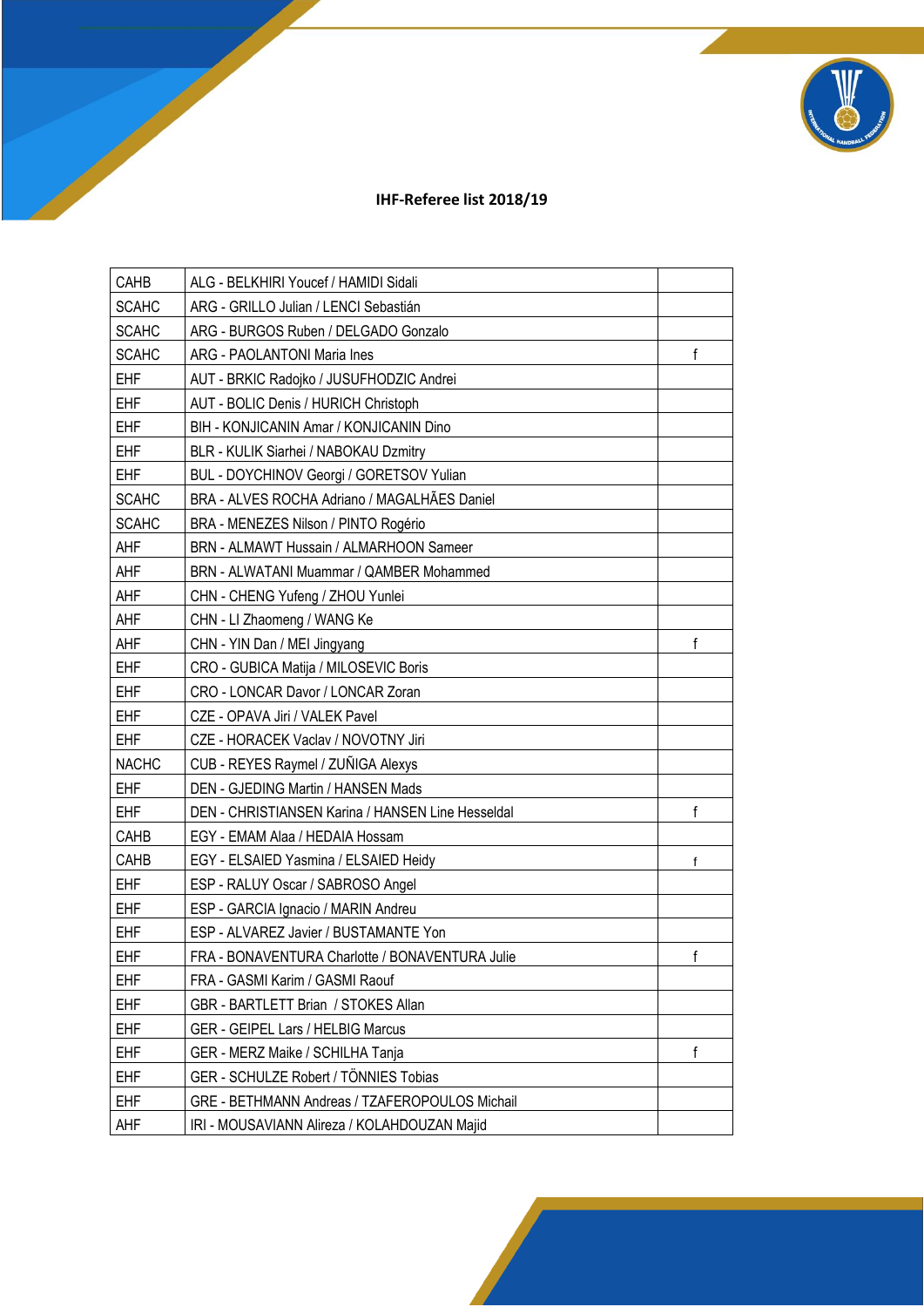

## **IHF-Referee list 2018/19**

| CAHB         | ALG - BELKHIRI Youcef / HAMIDI Sidali             |   |
|--------------|---------------------------------------------------|---|
| <b>SCAHC</b> | ARG - GRILLO Julian / LENCI Sebastián             |   |
| <b>SCAHC</b> | ARG - BURGOS Ruben / DELGADO Gonzalo              |   |
| <b>SCAHC</b> | ARG - PAOLANTONI Maria Ines                       | f |
| <b>EHF</b>   | AUT - BRKIC Radojko / JUSUFHODZIC Andrei          |   |
| <b>EHF</b>   | AUT - BOLIC Denis / HURICH Christoph              |   |
| <b>EHF</b>   | BIH - KONJICANIN Amar / KONJICANIN Dino           |   |
| <b>EHF</b>   | BLR - KULIK Siarhei / NABOKAU Dzmitry             |   |
| <b>EHF</b>   | BUL - DOYCHINOV Georgi / GORETSOV Yulian          |   |
| <b>SCAHC</b> | BRA - ALVES ROCHA Adriano / MAGALHÃES Daniel      |   |
| <b>SCAHC</b> | BRA - MENEZES Nilson / PINTO Rogério              |   |
| AHF          | BRN - ALMAWT Hussain / ALMARHOON Sameer           |   |
| AHF          | BRN - ALWATANI Muammar / QAMBER Mohammed          |   |
| AHF          | CHN - CHENG Yufeng / ZHOU Yunlei                  |   |
| AHF          | CHN - LI Zhaomeng / WANG Ke                       |   |
| AHF          | CHN - YIN Dan / MEI Jingyang                      | f |
| <b>EHF</b>   | CRO - GUBICA Matija / MILOSEVIC Boris             |   |
| <b>EHF</b>   | CRO - LONCAR Davor / LONCAR Zoran                 |   |
| <b>EHF</b>   | CZE - OPAVA Jiri / VALEK Pavel                    |   |
| <b>EHF</b>   | CZE - HORACEK Vaclav / NOVOTNY Jiri               |   |
| <b>NACHC</b> | CUB - REYES Raymel / ZUÑIGA Alexys                |   |
| <b>EHF</b>   | DEN - GJEDING Martin / HANSEN Mads                |   |
| <b>EHF</b>   | DEN - CHRISTIANSEN Karina / HANSEN Line Hesseldal | f |
| CAHB         | EGY - EMAM Alaa / HEDAIA Hossam                   |   |
| CAHB         | EGY - ELSAIED Yasmina / ELSAIED Heidy             | f |
| <b>EHF</b>   | ESP - RALUY Oscar / SABROSO Angel                 |   |
| <b>EHF</b>   | ESP - GARCIA Ignacio / MARIN Andreu               |   |
| EHF          | ESP - ALVAREZ Javier / BUSTAMANTE Yon             |   |
| <b>EHF</b>   | FRA - BONAVENTURA Charlotte / BONAVENTURA Julie   | f |
| <b>EHF</b>   | FRA - GASMI Karim / GASMI Raouf                   |   |
| EHF          | GBR - BARTLETT Brian / STOKES Allan               |   |
| <b>EHF</b>   | <b>GER - GEIPEL Lars / HELBIG Marcus</b>          |   |
| <b>EHF</b>   | GER - MERZ Maike / SCHILHA Tanja                  | f |
| <b>EHF</b>   | GER - SCHULZE Robert / TÖNNIES Tobias             |   |
| <b>EHF</b>   | GRE - BETHMANN Andreas / TZAFEROPOULOS Michail    |   |
| AHF          | IRI - MOUSAVIANN Alireza / KOLAHDOUZAN Majid      |   |
|              |                                                   |   |